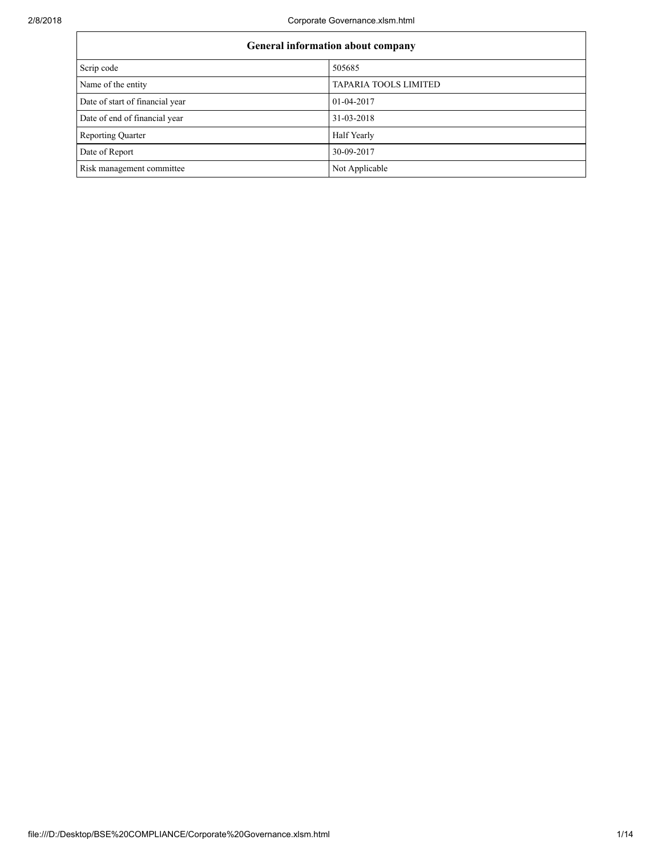| General information about company |                              |  |  |  |  |
|-----------------------------------|------------------------------|--|--|--|--|
| Scrip code                        | 505685                       |  |  |  |  |
| Name of the entity                | <b>TAPARIA TOOLS LIMITED</b> |  |  |  |  |
| Date of start of financial year   | 01-04-2017                   |  |  |  |  |
| Date of end of financial year     | 31-03-2018                   |  |  |  |  |
| Reporting Quarter                 | Half Yearly                  |  |  |  |  |
| Date of Report                    | 30-09-2017                   |  |  |  |  |
| Risk management committee         | Not Applicable               |  |  |  |  |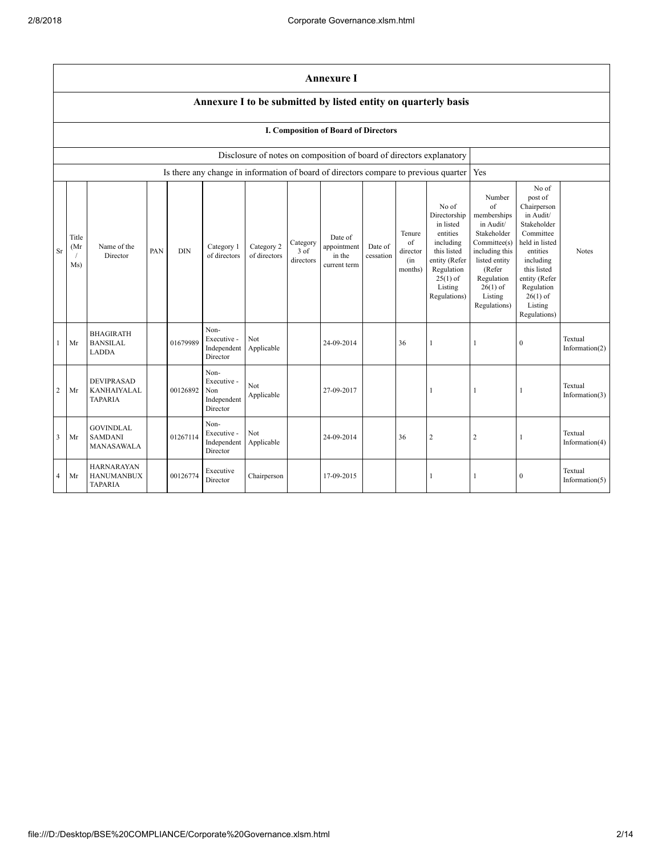|                | <b>Annexure I</b>                                                                                                                                                                                                                                                                                                                                                                                                                                        |                                                          |  |          |                                                       |                                                                                                                                                                                     |                                                                                                                                                                                                            |            |  |    |                                                                                      |                |                |                              |
|----------------|----------------------------------------------------------------------------------------------------------------------------------------------------------------------------------------------------------------------------------------------------------------------------------------------------------------------------------------------------------------------------------------------------------------------------------------------------------|----------------------------------------------------------|--|----------|-------------------------------------------------------|-------------------------------------------------------------------------------------------------------------------------------------------------------------------------------------|------------------------------------------------------------------------------------------------------------------------------------------------------------------------------------------------------------|------------|--|----|--------------------------------------------------------------------------------------|----------------|----------------|------------------------------|
|                |                                                                                                                                                                                                                                                                                                                                                                                                                                                          |                                                          |  |          |                                                       |                                                                                                                                                                                     |                                                                                                                                                                                                            |            |  |    | Annexure I to be submitted by listed entity on quarterly basis                       |                |                |                              |
|                | I. Composition of Board of Directors                                                                                                                                                                                                                                                                                                                                                                                                                     |                                                          |  |          |                                                       |                                                                                                                                                                                     |                                                                                                                                                                                                            |            |  |    |                                                                                      |                |                |                              |
|                | Disclosure of notes on composition of board of directors explanatory                                                                                                                                                                                                                                                                                                                                                                                     |                                                          |  |          |                                                       |                                                                                                                                                                                     |                                                                                                                                                                                                            |            |  |    |                                                                                      |                |                |                              |
|                |                                                                                                                                                                                                                                                                                                                                                                                                                                                          |                                                          |  |          |                                                       |                                                                                                                                                                                     |                                                                                                                                                                                                            |            |  |    | Is there any change in information of board of directors compare to previous quarter | Yes            |                |                              |
| <b>Sr</b>      | No of<br>Directorship<br>in listed<br>entities<br>Tenure<br>Date of<br>Title<br>$\sigma$ f<br>including<br>Category<br>Name of the<br>appointment<br>Date of<br>(Mr<br>Category 1<br>Category 2<br><b>DIN</b><br>3 of<br>PAN<br>director<br>this listed<br>of directors<br>Director<br>of directors<br>in the<br>cessation<br>entity (Refer<br>directors<br>(in<br>Ms)<br>current term<br>months)<br>Regulation<br>$25(1)$ of<br>Listing<br>Regulations) |                                                          |  |          |                                                       | Number<br>$\sigma$ f<br>memberships<br>in Audit/<br>Stakeholder<br>Committee(s)<br>including this<br>listed entity<br>(Refer<br>Regulation<br>$26(1)$ of<br>Listing<br>Regulations) | No of<br>post of<br>Chairperson<br>in Audit/<br>Stakeholder<br>Committee<br>held in listed<br>entities<br>including<br>this listed<br>entity (Refer<br>Regulation<br>$26(1)$ of<br>Listing<br>Regulations) | Notes      |  |    |                                                                                      |                |                |                              |
| 1              | Mr                                                                                                                                                                                                                                                                                                                                                                                                                                                       | <b>BHAGIRATH</b><br><b>BANSILAL</b><br>LADDA             |  | 01679989 | Non-<br>Executive -<br>Independent<br>Director        | Not<br>Applicable                                                                                                                                                                   |                                                                                                                                                                                                            | 24-09-2014 |  | 36 |                                                                                      | $\mathbf{1}$   | $\overline{0}$ | Textual<br>Information(2)    |
| $\overline{c}$ | Mr                                                                                                                                                                                                                                                                                                                                                                                                                                                       | <b>DEVIPRASAD</b><br>KANHAIYALAL<br><b>TAPARIA</b>       |  | 00126892 | Non-<br>Executive -<br>Non<br>Independent<br>Director | Not<br>Applicable                                                                                                                                                                   |                                                                                                                                                                                                            | 27-09-2017 |  |    |                                                                                      |                |                | Textual<br>Information(3)    |
| 3              | Mr                                                                                                                                                                                                                                                                                                                                                                                                                                                       | <b>GOVINDLAL</b><br><b>SAMDANI</b><br>MANASAWALA         |  | 01267114 | Non-<br>Executive -<br>Independent<br>Director        | Not<br>Applicable                                                                                                                                                                   |                                                                                                                                                                                                            | 24-09-2014 |  | 36 | $\overline{c}$                                                                       | $\overline{2}$ |                | Textual<br>Information $(4)$ |
| $\overline{4}$ | Mr                                                                                                                                                                                                                                                                                                                                                                                                                                                       | <b>HARNARAYAN</b><br><b>HANUMANBUX</b><br><b>TAPARIA</b> |  | 00126774 | Executive<br>Director                                 | Chairperson                                                                                                                                                                         |                                                                                                                                                                                                            | 17-09-2015 |  |    |                                                                                      | $\mathbf{1}$   | $\mathbf{0}$   | Textual<br>Information $(5)$ |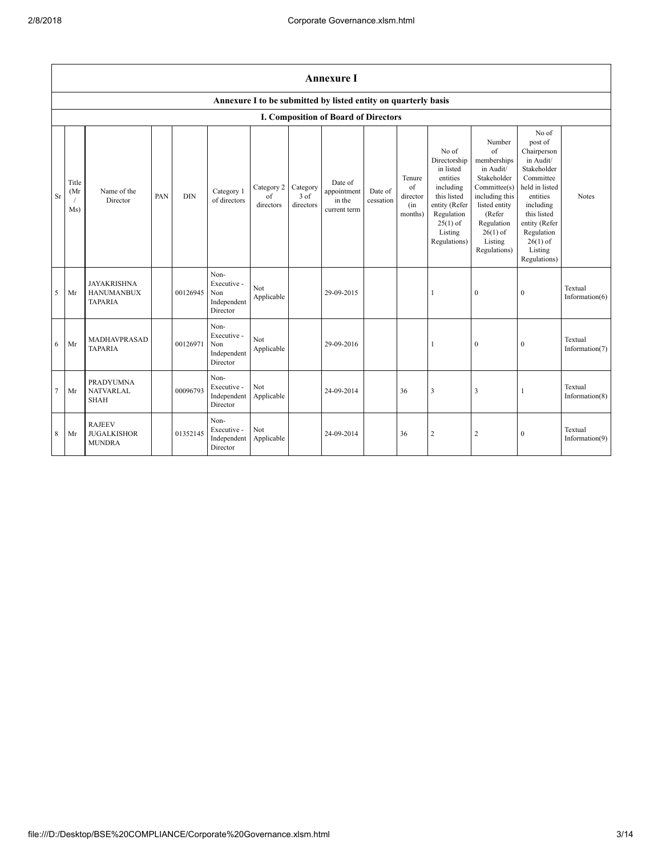|                | <b>Annexure I</b>                                              |                                                           |     |            |                                                       |                               |                                         |                                                  |                      |                                                    |                                                                                                                                                    |                                                                                                                                                                                     |                                                                                                                                                                                                            |                              |
|----------------|----------------------------------------------------------------|-----------------------------------------------------------|-----|------------|-------------------------------------------------------|-------------------------------|-----------------------------------------|--------------------------------------------------|----------------------|----------------------------------------------------|----------------------------------------------------------------------------------------------------------------------------------------------------|-------------------------------------------------------------------------------------------------------------------------------------------------------------------------------------|------------------------------------------------------------------------------------------------------------------------------------------------------------------------------------------------------------|------------------------------|
|                | Annexure I to be submitted by listed entity on quarterly basis |                                                           |     |            |                                                       |                               |                                         |                                                  |                      |                                                    |                                                                                                                                                    |                                                                                                                                                                                     |                                                                                                                                                                                                            |                              |
|                | I. Composition of Board of Directors                           |                                                           |     |            |                                                       |                               |                                         |                                                  |                      |                                                    |                                                                                                                                                    |                                                                                                                                                                                     |                                                                                                                                                                                                            |                              |
| <b>Sr</b>      | Title<br>(Mr)<br>$\prime$<br>Ms)                               | Name of the<br>Director                                   | PAN | <b>DIN</b> | Category 1<br>of directors                            | Category 2<br>of<br>directors | Category<br>$3 \text{ of}$<br>directors | Date of<br>appointment<br>in the<br>current term | Date of<br>cessation | Tenure<br>$\sigma$ f<br>director<br>(in<br>months) | No of<br>Directorship<br>in listed<br>entities<br>including<br>this listed<br>entity (Refer<br>Regulation<br>$25(1)$ of<br>Listing<br>Regulations) | Number<br>$\sigma$ f<br>memberships<br>in Audit/<br>Stakeholder<br>Committee(s)<br>including this<br>listed entity<br>(Refer<br>Regulation<br>$26(1)$ of<br>Listing<br>Regulations) | No of<br>post of<br>Chairperson<br>in Audit/<br>Stakeholder<br>Committee<br>held in listed<br>entities<br>including<br>this listed<br>entity (Refer<br>Regulation<br>$26(1)$ of<br>Listing<br>Regulations) | Notes                        |
| 5              | Mr                                                             | <b>JAYAKRISHNA</b><br><b>HANUMANBUX</b><br><b>TAPARIA</b> |     | 00126945   | Non-<br>Executive -<br>Non<br>Independent<br>Director | Not<br>Applicable             |                                         | 29-09-2015                                       |                      |                                                    | 1                                                                                                                                                  | $\overline{0}$                                                                                                                                                                      | $\mathbf{0}$                                                                                                                                                                                               | Textual<br>Information $(6)$ |
| 6              | Mr                                                             | MADHAVPRASAD<br><b>TAPARIA</b>                            |     | 00126971   | Non-<br>Executive -<br>Non<br>Independent<br>Director | Not<br>Applicable             |                                         | 29-09-2016                                       |                      |                                                    | $\mathbf{1}$                                                                                                                                       | $\overline{0}$                                                                                                                                                                      | $\mathbf{0}$                                                                                                                                                                                               | Textual<br>Information(7)    |
| $\overline{7}$ | Mr                                                             | <b>PRADYUMNA</b><br><b>NATVARLAL</b><br>SHAH              |     | 00096793   | Non-<br>Executive -<br>Independent<br>Director        | Not<br>Applicable             |                                         | 24-09-2014                                       |                      | 36                                                 | 3                                                                                                                                                  | $\overline{\mathbf{3}}$                                                                                                                                                             |                                                                                                                                                                                                            | Textual<br>Information(8)    |
| 8              | Mr                                                             | <b>RAJEEV</b><br><b>JUGALKISHOR</b><br><b>MUNDRA</b>      |     | 01352145   | Non-<br>Executive -<br>Independent<br>Director        | Not<br>Applicable             |                                         | 24-09-2014                                       |                      | 36                                                 | $\overline{c}$                                                                                                                                     | $\overline{2}$                                                                                                                                                                      | $\mathbf{0}$                                                                                                                                                                                               | Textual<br>Information(9)    |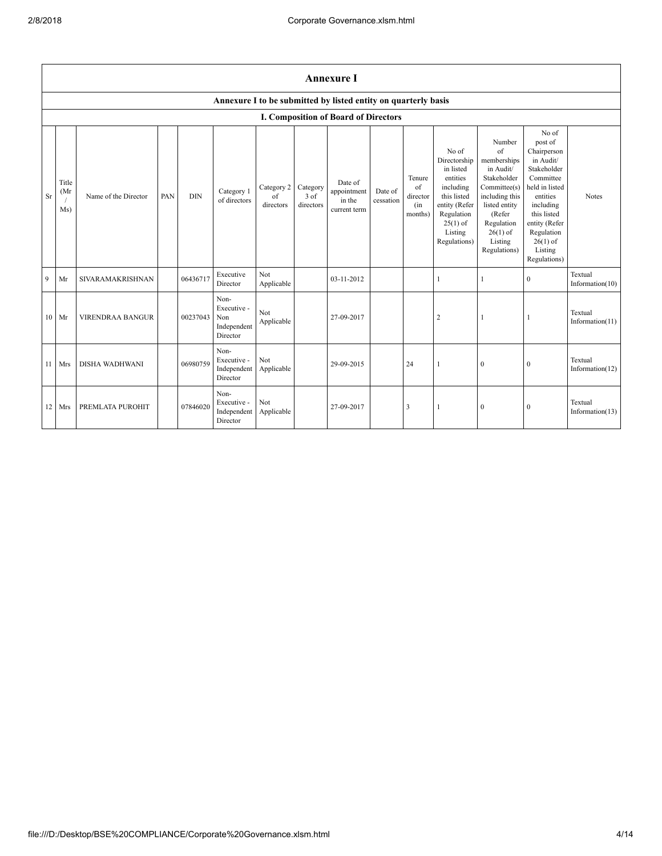|    | <b>Annexure I</b>                                              |                         |     |            |                                                       |                               |                                 |                                                  |                      |                                            |                                                                                                                                                    |                                                                                                                                                                             |                                                                                                                                                                                                            |                               |
|----|----------------------------------------------------------------|-------------------------|-----|------------|-------------------------------------------------------|-------------------------------|---------------------------------|--------------------------------------------------|----------------------|--------------------------------------------|----------------------------------------------------------------------------------------------------------------------------------------------------|-----------------------------------------------------------------------------------------------------------------------------------------------------------------------------|------------------------------------------------------------------------------------------------------------------------------------------------------------------------------------------------------------|-------------------------------|
|    | Annexure I to be submitted by listed entity on quarterly basis |                         |     |            |                                                       |                               |                                 |                                                  |                      |                                            |                                                                                                                                                    |                                                                                                                                                                             |                                                                                                                                                                                                            |                               |
|    | I. Composition of Board of Directors                           |                         |     |            |                                                       |                               |                                 |                                                  |                      |                                            |                                                                                                                                                    |                                                                                                                                                                             |                                                                                                                                                                                                            |                               |
| Sr | Title<br>(Mr<br>Ms)                                            | Name of the Director    | PAN | <b>DIN</b> | Category 1<br>of directors                            | Category 2<br>of<br>directors | Category<br>$3$ of<br>directors | Date of<br>appointment<br>in the<br>current term | Date of<br>cessation | Tenure<br>of<br>director<br>(in<br>months) | No of<br>Directorship<br>in listed<br>entities<br>including<br>this listed<br>entity (Refer<br>Regulation<br>$25(1)$ of<br>Listing<br>Regulations) | Number<br>of<br>memberships<br>in Audit/<br>Stakeholder<br>Committee(s)<br>including this<br>listed entity<br>(Refer<br>Regulation<br>$26(1)$ of<br>Listing<br>Regulations) | No of<br>post of<br>Chairperson<br>in Audit/<br>Stakeholder<br>Committee<br>held in listed<br>entities<br>including<br>this listed<br>entity (Refer<br>Regulation<br>$26(1)$ of<br>Listing<br>Regulations) | Notes                         |
| 9  | Mr                                                             | SIVARAMAKRISHNAN        |     | 06436717   | Executive<br>Director                                 | Not<br>Applicable             |                                 | 03-11-2012                                       |                      |                                            | 1                                                                                                                                                  | -1                                                                                                                                                                          | $\mathbf{0}$                                                                                                                                                                                               | Textual<br>Information $(10)$ |
|    | $10$ Mr                                                        | <b>VIRENDRAA BANGUR</b> |     | 00237043   | Non-<br>Executive -<br>Non<br>Independent<br>Director | Not<br>Applicable             |                                 | 27-09-2017                                       |                      |                                            | $\overline{c}$                                                                                                                                     | -1                                                                                                                                                                          | 1                                                                                                                                                                                                          | Textual<br>Information(11)    |
| 11 | Mrs                                                            | DISHA WADHWANI          |     | 06980759   | Non-<br>Executive -<br>Independent<br>Director        | Not<br>Applicable             |                                 | 29-09-2015                                       |                      | 24                                         | 1                                                                                                                                                  | $\boldsymbol{0}$                                                                                                                                                            | $\boldsymbol{0}$                                                                                                                                                                                           | Textual<br>Information(12)    |
|    | 12 Mrs                                                         | PREMLATA PUROHIT        |     | 07846020   | Non-<br>Executive -<br>Independent<br>Director        | Not<br>Applicable             |                                 | 27-09-2017                                       |                      | 3                                          | 1                                                                                                                                                  | $\boldsymbol{0}$                                                                                                                                                            | $\mathbf{0}$                                                                                                                                                                                               | Textual<br>Information $(13)$ |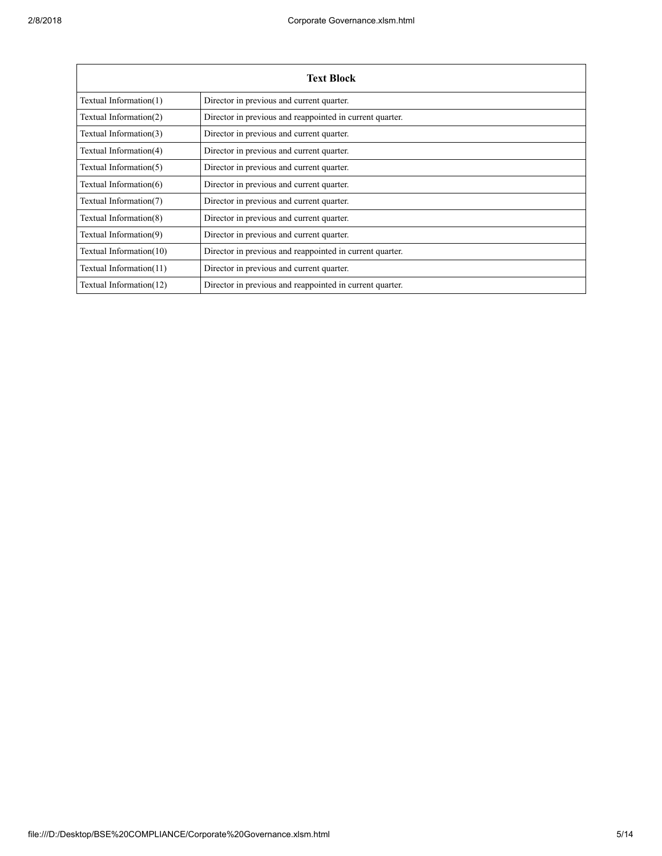| <b>Text Block</b>       |                                                          |  |  |  |  |  |
|-------------------------|----------------------------------------------------------|--|--|--|--|--|
| Textual Information(1)  | Director in previous and current quarter.                |  |  |  |  |  |
| Textual Information(2)  | Director in previous and reappointed in current quarter. |  |  |  |  |  |
| Textual Information(3)  | Director in previous and current quarter.                |  |  |  |  |  |
| Textual Information(4)  | Director in previous and current quarter.                |  |  |  |  |  |
| Textual Information(5)  | Director in previous and current quarter.                |  |  |  |  |  |
| Textual Information(6)  | Director in previous and current quarter.                |  |  |  |  |  |
| Textual Information(7)  | Director in previous and current quarter.                |  |  |  |  |  |
| Textual Information(8)  | Director in previous and current quarter.                |  |  |  |  |  |
| Textual Information(9)  | Director in previous and current quarter.                |  |  |  |  |  |
| Textual Information(10) | Director in previous and reappointed in current quarter. |  |  |  |  |  |
| Textual Information(11) | Director in previous and current quarter.                |  |  |  |  |  |
| Textual Information(12) | Director in previous and reappointed in current quarter. |  |  |  |  |  |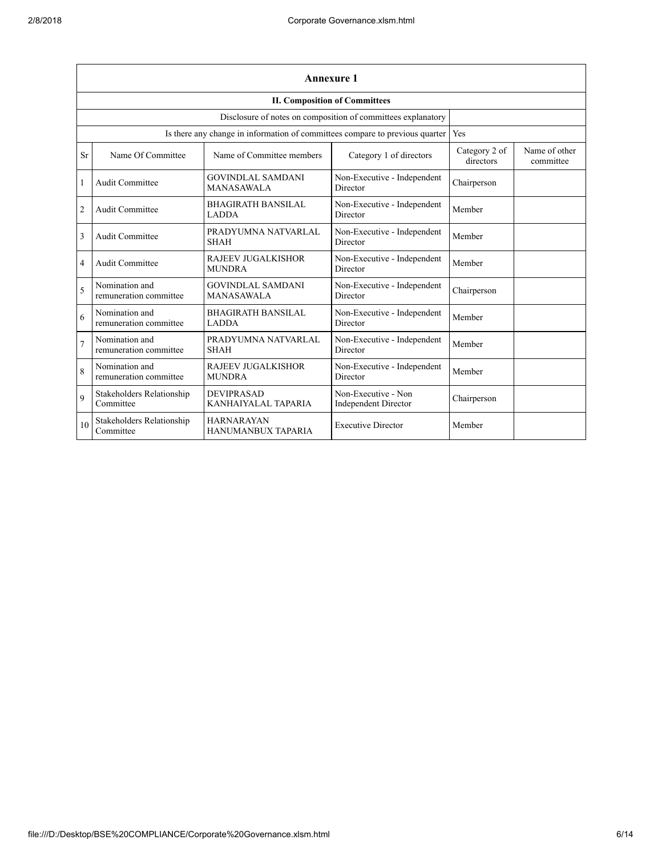|                | <b>Annexure 1</b>                                                            |                                               |                                                    |                            |                            |  |  |  |  |  |
|----------------|------------------------------------------------------------------------------|-----------------------------------------------|----------------------------------------------------|----------------------------|----------------------------|--|--|--|--|--|
|                | <b>II. Composition of Committees</b>                                         |                                               |                                                    |                            |                            |  |  |  |  |  |
|                | Disclosure of notes on composition of committees explanatory                 |                                               |                                                    |                            |                            |  |  |  |  |  |
|                | Is there any change in information of committees compare to previous quarter | Yes                                           |                                                    |                            |                            |  |  |  |  |  |
| <b>Sr</b>      | Name Of Committee                                                            | Name of Committee members                     | Category 1 of directors                            | Category 2 of<br>directors | Name of other<br>committee |  |  |  |  |  |
| $\mathbf{1}$   | Audit Committee                                                              | <b>GOVINDLAL SAMDANI</b><br><b>MANASAWALA</b> | Non-Executive - Independent<br>Director            | Chairperson                |                            |  |  |  |  |  |
| $\overline{2}$ | Audit Committee                                                              | <b>BHAGIRATH BANSILAL</b><br><b>LADDA</b>     | Non-Executive - Independent<br>Director            | Member                     |                            |  |  |  |  |  |
| 3              | Audit Committee                                                              | PRADYUMNA NATVARLAL<br><b>SHAH</b>            | Non-Executive - Independent<br>Director            | Member                     |                            |  |  |  |  |  |
| 4              | Audit Committee                                                              | <b>RAJEEV JUGALKISHOR</b><br><b>MUNDRA</b>    | Non-Executive - Independent<br>Director            | Member                     |                            |  |  |  |  |  |
| 5              | Nomination and<br>remuneration committee                                     | <b>GOVINDLAL SAMDANI</b><br><b>MANASAWALA</b> | Non-Executive - Independent<br>Director            | Chairperson                |                            |  |  |  |  |  |
| 6              | Nomination and<br>remuneration committee                                     | <b>BHAGIRATH BANSILAL</b><br><b>LADDA</b>     | Non-Executive - Independent<br>Director            | Member                     |                            |  |  |  |  |  |
| $\overline{7}$ | Nomination and<br>remuneration committee                                     | PRADYUMNA NATVARLAL<br><b>SHAH</b>            | Non-Executive - Independent<br>Director            | Member                     |                            |  |  |  |  |  |
| 8              | Nomination and<br>remuneration committee                                     | <b>RAJEEV JUGALKISHOR</b><br><b>MUNDRA</b>    | Non-Executive - Independent<br>Director            | Member                     |                            |  |  |  |  |  |
| 9              | Stakeholders Relationship<br>Committee                                       | <b>DEVIPRASAD</b><br>KANHAIYALAL TAPARIA      | Non-Executive - Non<br><b>Independent Director</b> | Chairperson                |                            |  |  |  |  |  |
| 10             | Stakeholders Relationship<br>Committee                                       | <b>HARNARAYAN</b><br>HANUMANBUX TAPARIA       | <b>Executive Director</b>                          | Member                     |                            |  |  |  |  |  |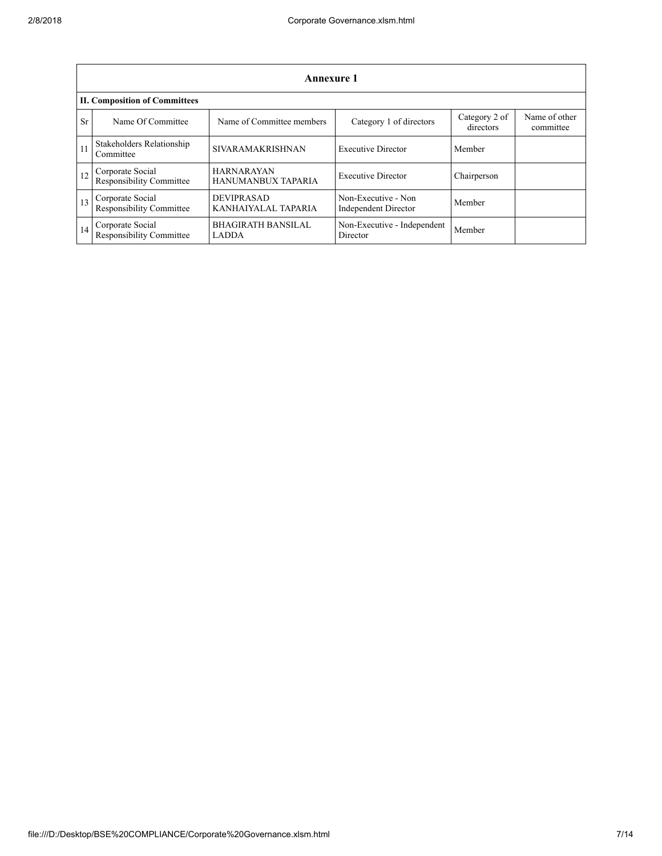|    | Annexure 1                                          |                                           |                                             |                            |                            |  |  |  |  |  |
|----|-----------------------------------------------------|-------------------------------------------|---------------------------------------------|----------------------------|----------------------------|--|--|--|--|--|
|    | <b>II. Composition of Committees</b>                |                                           |                                             |                            |                            |  |  |  |  |  |
| Sr | Name Of Committee                                   | Name of Committee members                 | Category 1 of directors                     | Category 2 of<br>directors | Name of other<br>committee |  |  |  |  |  |
| 11 | Stakeholders Relationship<br>Committee              | <b>SIVARAMAKRISHNAN</b>                   | <b>Executive Director</b>                   | Member                     |                            |  |  |  |  |  |
| 12 | Corporate Social<br>Responsibility Committee        | <b>HARNARAYAN</b><br>HANUMANBUX TAPARIA   | <b>Executive Director</b>                   | Chairperson                |                            |  |  |  |  |  |
| 13 | Corporate Social<br><b>Responsibility Committee</b> | <b>DEVIPRASAD</b><br>KANHAIYALAL TAPARIA  | Non-Executive - Non<br>Independent Director | Member                     |                            |  |  |  |  |  |
| 14 | Corporate Social<br>Responsibility Committee        | <b>BHAGIRATH BANSILAL</b><br><b>LADDA</b> | Non-Executive - Independent<br>Director     | Member                     |                            |  |  |  |  |  |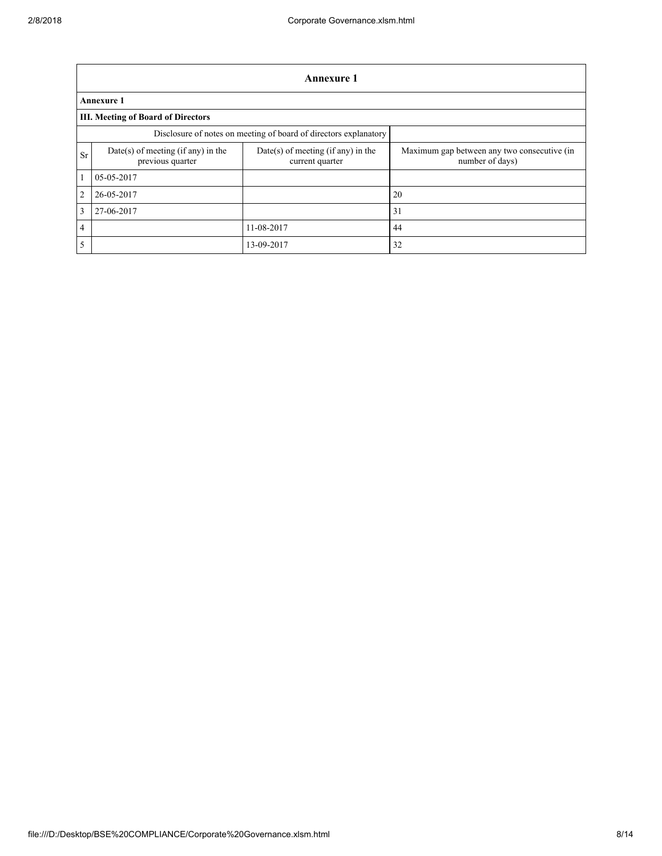|                | Annexure 1                                                       |                                                         |                                                                |  |  |  |  |  |  |
|----------------|------------------------------------------------------------------|---------------------------------------------------------|----------------------------------------------------------------|--|--|--|--|--|--|
|                | <b>Annexure 1</b>                                                |                                                         |                                                                |  |  |  |  |  |  |
|                | <b>III. Meeting of Board of Directors</b>                        |                                                         |                                                                |  |  |  |  |  |  |
|                | Disclosure of notes on meeting of board of directors explanatory |                                                         |                                                                |  |  |  |  |  |  |
| <b>Sr</b>      | $Date(s)$ of meeting (if any) in the<br>previous quarter         | $Date(s)$ of meeting (if any) in the<br>current quarter | Maximum gap between any two consecutive (in<br>number of days) |  |  |  |  |  |  |
| $\mathbf{1}$   | 05-05-2017                                                       |                                                         |                                                                |  |  |  |  |  |  |
| $\overline{2}$ | 26-05-2017                                                       |                                                         | 20                                                             |  |  |  |  |  |  |
| $\overline{3}$ | 27-06-2017                                                       |                                                         | 31                                                             |  |  |  |  |  |  |
| $\overline{4}$ |                                                                  | 11-08-2017                                              | 44                                                             |  |  |  |  |  |  |
| 5              |                                                                  | 13-09-2017                                              | 32                                                             |  |  |  |  |  |  |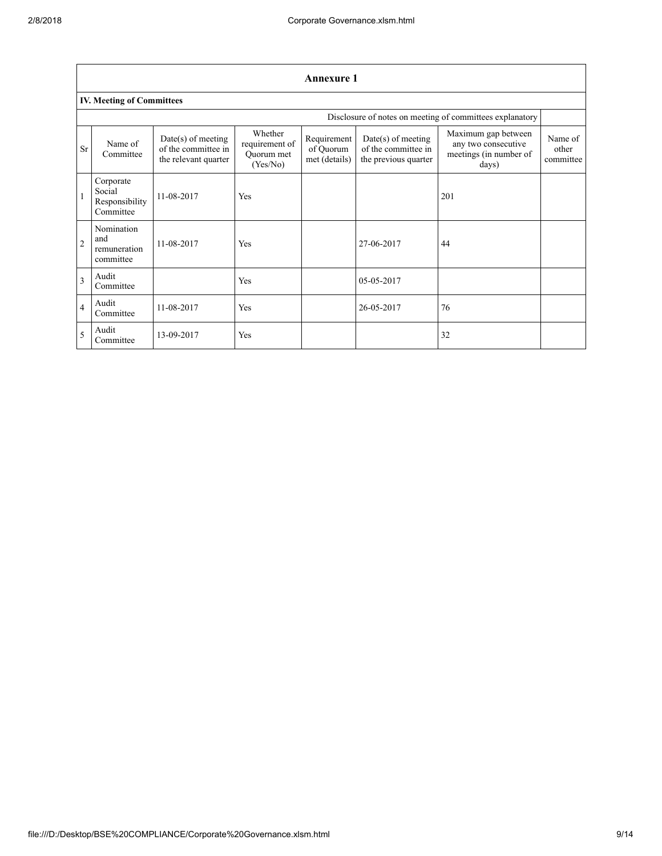|                | <b>Annexure 1</b>                                        |                                                                     |                                                     |                                           |                                                                   |                                                                               |                               |  |  |  |
|----------------|----------------------------------------------------------|---------------------------------------------------------------------|-----------------------------------------------------|-------------------------------------------|-------------------------------------------------------------------|-------------------------------------------------------------------------------|-------------------------------|--|--|--|
|                | <b>IV. Meeting of Committees</b>                         |                                                                     |                                                     |                                           |                                                                   |                                                                               |                               |  |  |  |
|                | Disclosure of notes on meeting of committees explanatory |                                                                     |                                                     |                                           |                                                                   |                                                                               |                               |  |  |  |
| <b>Sr</b>      | Name of<br>Committee                                     | $Date(s)$ of meeting<br>of the committee in<br>the relevant quarter | Whether<br>requirement of<br>Quorum met<br>(Yes/No) | Requirement<br>of Quorum<br>met (details) | Date(s) of meeting<br>of the committee in<br>the previous quarter | Maximum gap between<br>any two consecutive<br>meetings (in number of<br>days) | Name of<br>other<br>committee |  |  |  |
| $\vert$ 1      | Corporate<br>Social<br>Responsibility<br>Committee       | 11-08-2017                                                          | Yes                                                 |                                           |                                                                   | 201                                                                           |                               |  |  |  |
| $\overline{2}$ | Nomination<br>and<br>remuneration<br>committee           | 11-08-2017                                                          | Yes                                                 |                                           | 27-06-2017                                                        | 44                                                                            |                               |  |  |  |
| $\overline{3}$ | Audit<br>Committee                                       |                                                                     | Yes                                                 |                                           | 05-05-2017                                                        |                                                                               |                               |  |  |  |
| $\overline{4}$ | Audit<br>Committee                                       | 11-08-2017                                                          | Yes                                                 |                                           | 26-05-2017                                                        | 76                                                                            |                               |  |  |  |
| 5              | Audit<br>Committee                                       | 13-09-2017                                                          | Yes                                                 |                                           |                                                                   | 32                                                                            |                               |  |  |  |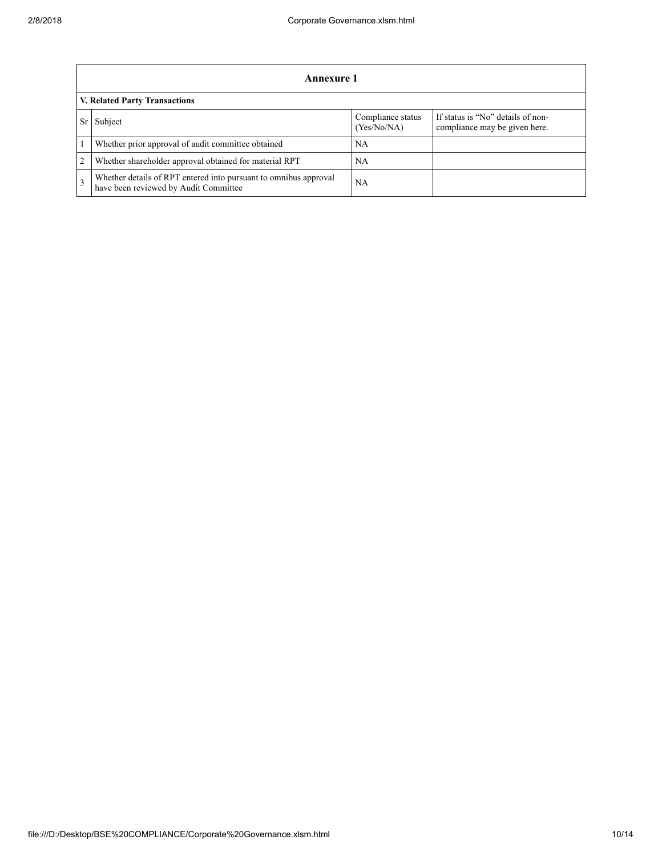|              | Annexure 1                                                                                                |                                  |                                                                    |  |  |  |  |  |
|--------------|-----------------------------------------------------------------------------------------------------------|----------------------------------|--------------------------------------------------------------------|--|--|--|--|--|
|              | <b>V. Related Party Transactions</b>                                                                      |                                  |                                                                    |  |  |  |  |  |
|              | Subject                                                                                                   | Compliance status<br>(Yes/No/NA) | If status is "No" details of non-<br>compliance may be given here. |  |  |  |  |  |
|              | Whether prior approval of audit committee obtained                                                        | <b>NA</b>                        |                                                                    |  |  |  |  |  |
| 2            | Whether shareholder approval obtained for material RPT                                                    | <b>NA</b>                        |                                                                    |  |  |  |  |  |
| $\mathbf{3}$ | Whether details of RPT entered into pursuant to omnibus approval<br>have been reviewed by Audit Committee | NA                               |                                                                    |  |  |  |  |  |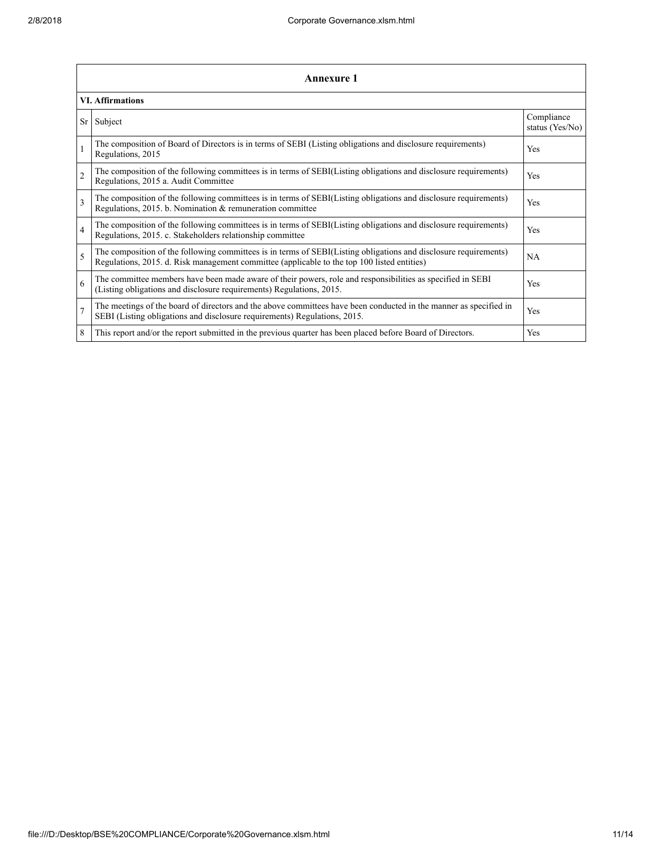|                | <b>Annexure 1</b>                                                                                                                                                                                               |                               |  |  |  |  |  |  |  |
|----------------|-----------------------------------------------------------------------------------------------------------------------------------------------------------------------------------------------------------------|-------------------------------|--|--|--|--|--|--|--|
|                | <b>VI. Affirmations</b>                                                                                                                                                                                         |                               |  |  |  |  |  |  |  |
| Sr             | Subject                                                                                                                                                                                                         | Compliance<br>status (Yes/No) |  |  |  |  |  |  |  |
|                | The composition of Board of Directors is in terms of SEBI (Listing obligations and disclosure requirements)<br>Regulations, 2015                                                                                | <b>Yes</b>                    |  |  |  |  |  |  |  |
| $\overline{2}$ | The composition of the following committees is in terms of SEBI(Listing obligations and disclosure requirements)<br>Regulations, 2015 a. Audit Committee                                                        | <b>Yes</b>                    |  |  |  |  |  |  |  |
| 3              | The composition of the following committees is in terms of SEBI(Listing obligations and disclosure requirements)<br>Regulations, 2015. b. Nomination & remuneration committee                                   | <b>Yes</b>                    |  |  |  |  |  |  |  |
| $\overline{4}$ | The composition of the following committees is in terms of SEBI(Listing obligations and disclosure requirements)<br>Regulations, 2015. c. Stakeholders relationship committee                                   | <b>Yes</b>                    |  |  |  |  |  |  |  |
| 5              | The composition of the following committees is in terms of SEBI(Listing obligations and disclosure requirements)<br>Regulations, 2015. d. Risk management committee (applicable to the top 100 listed entities) | NA.                           |  |  |  |  |  |  |  |
| 6              | The committee members have been made aware of their powers, role and responsibilities as specified in SEBI<br>(Listing obligations and disclosure requirements) Regulations, 2015.                              | Yes                           |  |  |  |  |  |  |  |
| $\overline{7}$ | The meetings of the board of directors and the above committees have been conducted in the manner as specified in<br>SEBI (Listing obligations and disclosure requirements) Regulations, 2015.                  | <b>Yes</b>                    |  |  |  |  |  |  |  |
| 8              | This report and/or the report submitted in the previous quarter has been placed before Board of Directors.                                                                                                      | <b>Yes</b>                    |  |  |  |  |  |  |  |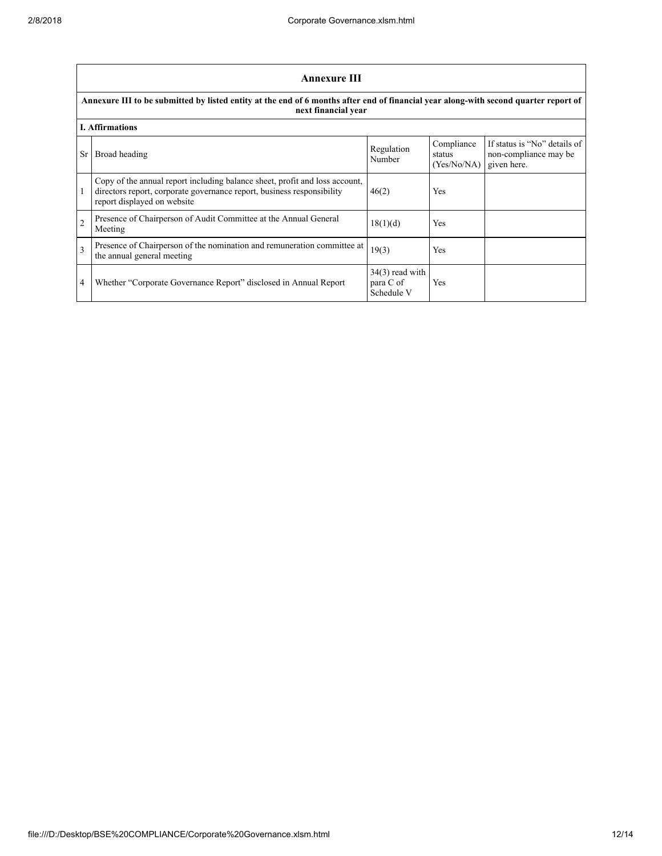|                | <b>Annexure III</b>                                                                                                                                                                  |                                              |                                     |                                                                      |  |  |  |  |  |
|----------------|--------------------------------------------------------------------------------------------------------------------------------------------------------------------------------------|----------------------------------------------|-------------------------------------|----------------------------------------------------------------------|--|--|--|--|--|
|                | Annexure III to be submitted by listed entity at the end of 6 months after end of financial year along-with second quarter report of<br>next financial year                          |                                              |                                     |                                                                      |  |  |  |  |  |
|                | <b>I. Affirmations</b>                                                                                                                                                               |                                              |                                     |                                                                      |  |  |  |  |  |
| Sr             | Broad heading                                                                                                                                                                        | Regulation<br>Number                         | Compliance<br>status<br>(Yes/No/NA) | If status is "No" details of<br>non-compliance may be<br>given here. |  |  |  |  |  |
|                | Copy of the annual report including balance sheet, profit and loss account,<br>directors report, corporate governance report, business responsibility<br>report displayed on website | 46(2)                                        | Yes                                 |                                                                      |  |  |  |  |  |
| $\overline{2}$ | Presence of Chairperson of Audit Committee at the Annual General<br>Meeting                                                                                                          | 18(1)(d)                                     | Yes                                 |                                                                      |  |  |  |  |  |
| 3              | Presence of Chairperson of the nomination and remuneration committee at<br>the annual general meeting                                                                                | 19(3)                                        | Yes                                 |                                                                      |  |  |  |  |  |
| 4              | Whether "Corporate Governance Report" disclosed in Annual Report                                                                                                                     | $34(3)$ read with<br>para C of<br>Schedule V | Yes                                 |                                                                      |  |  |  |  |  |